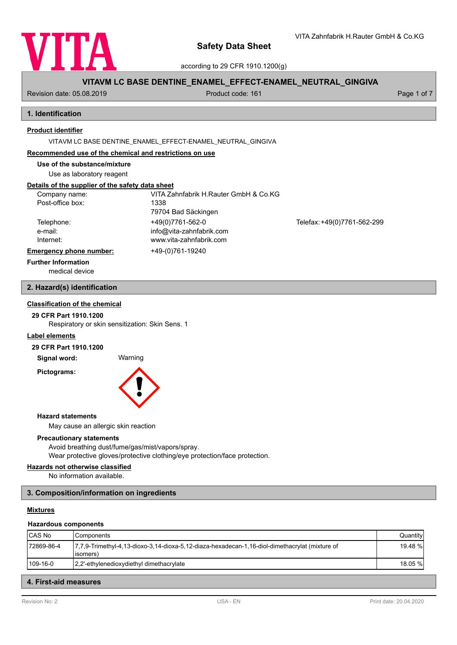

according to 29 CFR 1910.1200(g)

# **VITAVM LC BASE DENTINE\_ENAMEL\_EFFECT-ENAMEL\_NEUTRAL\_GINGIVA**

Revision date: 05.08.2019 **Product code: 161** Product code: 161 **Page 1 of 7** Page 1 of 7

# **1. Identification**

# **Product identifier**

VITAVM LC BASE DENTINE\_ENAMEL\_EFFECT-ENAMEL\_NEUTRAL\_GINGIVA

#### **Recommended use of the chemical and restrictions on use**

**Use of the substance/mixture**

Use as laboratory reagent

# **Details of the supplier of the safety data sheet**

| Company name:                  | VITA Zahnfabrik H.Rauter GmbH & Co.KG |                             |
|--------------------------------|---------------------------------------|-----------------------------|
| Post-office box:               | 1338                                  |                             |
|                                | 79704 Bad Säckingen                   |                             |
| Telephone:                     | +49(0)7761-562-0                      | Telefax: +49(0)7761-562-299 |
| e-mail:                        | info@vita-zahnfabrik.com              |                             |
| Internet:                      | www.vita-zahnfabrik.com               |                             |
| <b>Emergency phone number:</b> | +49-(0)761-19240                      |                             |
| <b>Further Information</b>     |                                       |                             |

medical device

## **2. Hazard(s) identification**

# **Classification of the chemical**

**29 CFR Part 1910.1200**

Respiratory or skin sensitization: Skin Sens. 1

#### **Label elements**

#### **29 CFR Part 1910.1200**

**Signal word:** Warning

**Pictograms:**



#### **Hazard statements**

May cause an allergic skin reaction

### **Precautionary statements**

Avoid breathing dust/fume/gas/mist/vapors/spray. Wear protective gloves/protective clothing/eye protection/face protection.

# **Hazards not otherwise classified**

No information available.

# **3. Composition/information on ingredients**

# **Mixtures**

#### **Hazardous components**

| CAS No     | l Components                                                                                                  | Quantity |
|------------|---------------------------------------------------------------------------------------------------------------|----------|
| 72869-86-4 | 17,7,9-Trimethyl-4,13-dioxo-3,14-dioxa-5,12-diaza-hexadecan-1,16-diol-dimethacrylat (mixture of<br>l isomers) | 19.48 %I |
| 109-16-0   | 12.2'-ethylenedioxydiethyl dimethacrylate                                                                     | 18.05 %I |

## **4. First-aid measures**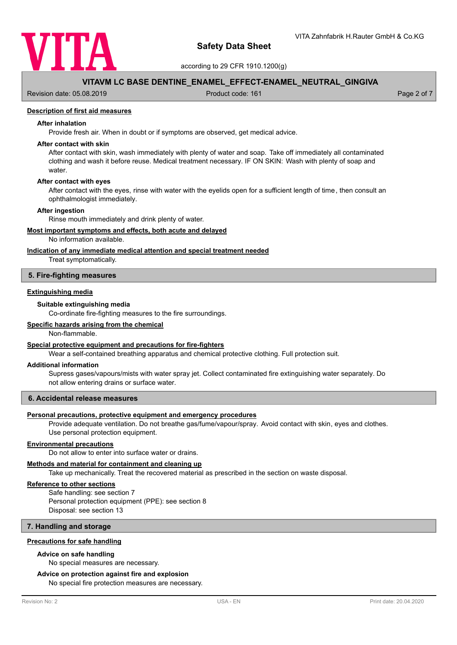

according to 29 CFR 1910.1200(g)

# **VITAVM LC BASE DENTINE\_ENAMEL\_EFFECT-ENAMEL\_NEUTRAL\_GINGIVA**

Revision date: 05.08.2019 **Product code: 161** Product code: 161 **Page 2 of 7** Page 2 of 7

## **Description of first aid measures**

#### **After inhalation**

Provide fresh air. When in doubt or if symptoms are observed, get medical advice.

### **After contact with skin**

After contact with skin, wash immediately with plenty of water and soap. Take off immediately all contaminated clothing and wash it before reuse. Medical treatment necessary. IF ON SKIN: Wash with plenty of soap and water.

# **After contact with eyes**

After contact with the eyes, rinse with water with the eyelids open for a sufficient length of time, then consult an ophthalmologist immediately.

#### **After ingestion**

Rinse mouth immediately and drink plenty of water.

#### **Most important symptoms and effects, both acute and delayed**

No information available.

#### **Indication of any immediate medical attention and special treatment needed**

Treat symptomatically.

#### **5. Fire-fighting measures**

#### **Extinguishing media**

#### **Suitable extinguishing media**

Co-ordinate fire-fighting measures to the fire surroundings.

# **Specific hazards arising from the chemical**

Non-flammable.

#### **Special protective equipment and precautions for fire-fighters**

Wear a self-contained breathing apparatus and chemical protective clothing. Full protection suit.

#### **Additional information**

Supress gases/vapours/mists with water spray jet. Collect contaminated fire extinguishing water separately. Do not allow entering drains or surface water.

#### **6. Accidental release measures**

#### **Personal precautions, protective equipment and emergency procedures**

Provide adequate ventilation. Do not breathe gas/fume/vapour/spray. Avoid contact with skin, eyes and clothes. Use personal protection equipment.

#### **Environmental precautions**

Do not allow to enter into surface water or drains.

#### **Methods and material for containment and cleaning up**

Take up mechanically. Treat the recovered material as prescribed in the section on waste disposal.

## **Reference to other sections**

Safe handling: see section 7 Personal protection equipment (PPE): see section 8 Disposal: see section 13

## **7. Handling and storage**

## **Precautions for safe handling**

#### **Advice on safe handling**

No special measures are necessary.

### **Advice on protection against fire and explosion**

No special fire protection measures are necessary.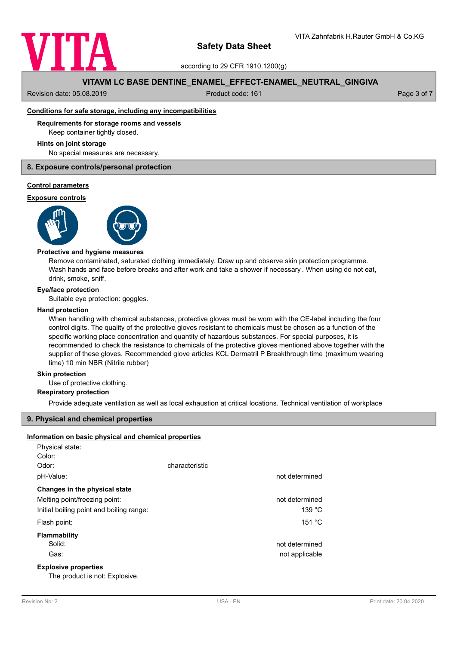

according to 29 CFR 1910.1200(g)

# **VITAVM LC BASE DENTINE\_ENAMEL\_EFFECT-ENAMEL\_NEUTRAL\_GINGIVA**

Revision date: 05.08.2019 **Product code: 161** Product code: 161 **Page 3 of 7** Page 3 of 7

## **Conditions for safe storage, including any incompatibilities**

### **Requirements for storage rooms and vessels**

Keep container tightly closed.

#### **Hints on joint storage**

No special measures are necessary.

## **8. Exposure controls/personal protection**

#### **Control parameters**

#### **Exposure controls**





#### **Protective and hygiene measures**

Remove contaminated, saturated clothing immediately. Draw up and observe skin protection programme. Wash hands and face before breaks and after work and take a shower if necessary . When using do not eat, drink, smoke, sniff.

#### **Eye/face protection**

Suitable eye protection: goggles.

#### **Hand protection**

When handling with chemical substances, protective gloves must be worn with the CE-label including the four control digits. The quality of the protective gloves resistant to chemicals must be chosen as a function of the specific working place concentration and quantity of hazardous substances. For special purposes, it is recommended to check the resistance to chemicals of the protective gloves mentioned above together with the supplier of these gloves. Recommended glove articles KCL Dermatril P Breakthrough time (maximum wearing time) 10 min NBR (Nitrile rubber)

#### **Skin protection**

Use of protective clothing.

### **Respiratory protection**

Provide adequate ventilation as well as local exhaustion at critical locations. Technical ventilation of workplace

#### **9. Physical and chemical properties**

## **Information on basic physical and chemical properties**

| Physical state:                          |                |                |
|------------------------------------------|----------------|----------------|
| Color:                                   |                |                |
| Odor:                                    | characteristic |                |
| pH-Value:                                |                | not determined |
| Changes in the physical state            |                |                |
| Melting point/freezing point:            |                | not determined |
| Initial boiling point and boiling range: |                | 139 °C         |
| Flash point:                             |                | 151 °C         |
| Flammability                             |                |                |
| Solid:                                   |                | not determined |
| Gas:                                     |                | not applicable |
| <b>Explosive properties</b>              |                |                |
|                                          |                |                |

The product is not: Explosive.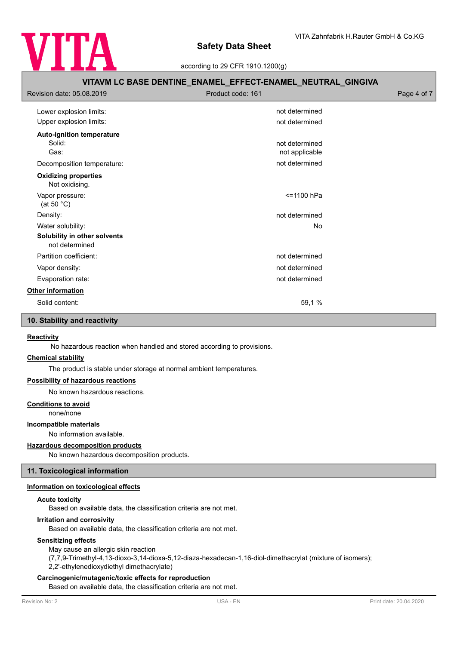

according to 29 CFR 1910.1200(g)

# **VITAVM LC BASE DENTINE\_ENAMEL\_EFFECT-ENAMEL\_NEUTRAL\_GINGIVA** Revision date: 05.08.2019 **Product code: 161** Product code: 161 **Page 4 of 7** Page 4 of 7 Lower explosion limits:  $\qquad \qquad \qquad$  not determined Upper explosion limits:  $\blacksquare$ **Auto-ignition temperature** Solid: **not determined** and the solid: **not determined** and the solid: **not determined** and the solid: **not determined** and the solid: **not determined** and the solid: **not determined** and the solid: **note** that the solid: Gas: contract the contract of the contract of the contract of the contract of the contract of the contract of the contract of the contract of the contract of the contract of the contract of the contract of the contract of Decomposition temperature: not determined Not oxidising. **Oxidizing properties** Vapor pressure: <=1100 hPa (at 50 °C) Density: **not determined**  $\blacksquare$ Water solubility: No water solubility: No water solubility: No water solubility: **Solubility in other solvents** not determined Partition coefficient: not determined Vapor density: not determined Evaporation rate: not determined **Other information** Solid content: 59,1 %

# **10. Stability and reactivity**

#### **Reactivity**

No hazardous reaction when handled and stored according to provisions.

#### **Chemical stability**

The product is stable under storage at normal ambient temperatures.

## **Possibility of hazardous reactions**

No known hazardous reactions.

#### **Conditions to avoid**

none/none

## **Incompatible materials**

No information available.

#### **Hazardous decomposition products**

No known hazardous decomposition products.

# **11. Toxicological information**

# **Information on toxicological effects**

#### **Acute toxicity**

Based on available data, the classification criteria are not met.

#### **Irritation and corrosivity**

Based on available data, the classification criteria are not met.

#### **Sensitizing effects**

May cause an allergic skin reaction (7,7,9-Trimethyl-4,13-dioxo-3,14-dioxa-5,12-diaza-hexadecan-1,16-diol-dimethacrylat (mixture of isomers); 2,2'-ethylenedioxydiethyl dimethacrylate)

## **Carcinogenic/mutagenic/toxic effects for reproduction**

Based on available data, the classification criteria are not met.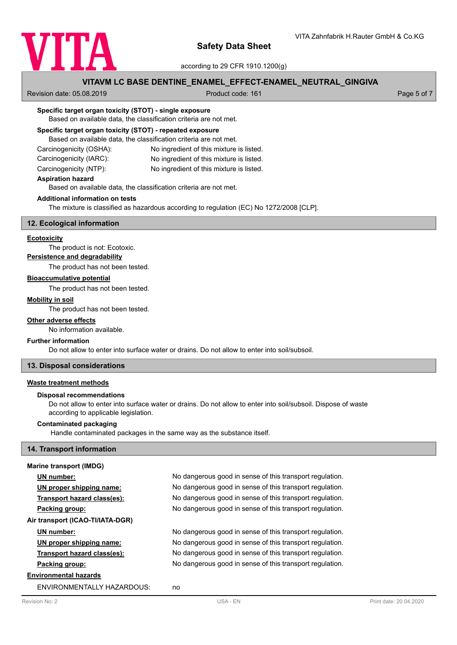

according to 29 CFR 1910.1200(g)

# **VITAVM LC BASE DENTINE\_ENAMEL\_EFFECT-ENAMEL\_NEUTRAL\_GINGIVA**

Revision date: 05.08.2019 **Product code: 161** Product code: 161 **Page 5 of 7** Page 5 of 7

### **Specific target organ toxicity (STOT) - single exposure**

Based on available data, the classification criteria are not met.

## **Specific target organ toxicity (STOT) - repeated exposure**

Based on available data, the classification criteria are not met.

| Carcinogenicity (OSHA): | No ingredient of this mixture is listed. |
|-------------------------|------------------------------------------|
| Carcinogenicity (IARC): | No ingredient of this mixture is listed. |

Carcinogenicity (NTP): No ingredient of this mixture is listed.

**Aspiration hazard**

Based on available data, the classification criteria are not met.

# **Additional information on tests**

The mixture is classified as hazardous according to regulation (EC) No 1272/2008 [CLP].

### **12. Ecological information**

#### **Ecotoxicity**

The product is not: Ecotoxic.

# **Persistence and degradability**

The product has not been tested.

# **Bioaccumulative potential**

The product has not been tested.

## **Mobility in soil**

The product has not been tested.

# **Other adverse effects**

No information available.

#### **Further information**

Do not allow to enter into surface water or drains. Do not allow to enter into soil/subsoil.

## **13. Disposal considerations**

### **Waste treatment methods**

### **Disposal recommendations**

Do not allow to enter into surface water or drains. Do not allow to enter into soil/subsoil. Dispose of waste according to applicable legislation.

#### **Contaminated packaging**

Handle contaminated packages in the same way as the substance itself.

#### **14. Transport information**

#### **Marine transport (IMDG)**

| UN number:                       | No dangerous good in sense of this transport regulation. |
|----------------------------------|----------------------------------------------------------|
| UN proper shipping name:         | No dangerous good in sense of this transport regulation. |
| Transport hazard class(es):      | No dangerous good in sense of this transport regulation. |
| Packing group:                   | No dangerous good in sense of this transport regulation. |
| Air transport (ICAO-TI/IATA-DGR) |                                                          |
| UN number:                       | No dangerous good in sense of this transport regulation. |
| UN proper shipping name:         | No dangerous good in sense of this transport regulation. |
| Transport hazard class(es):      | No dangerous good in sense of this transport regulation. |
| Packing group:                   | No dangerous good in sense of this transport regulation. |
| <b>Environmental hazards</b>     |                                                          |
| ENVIRONMENTALLY HAZARDOUS:       | no                                                       |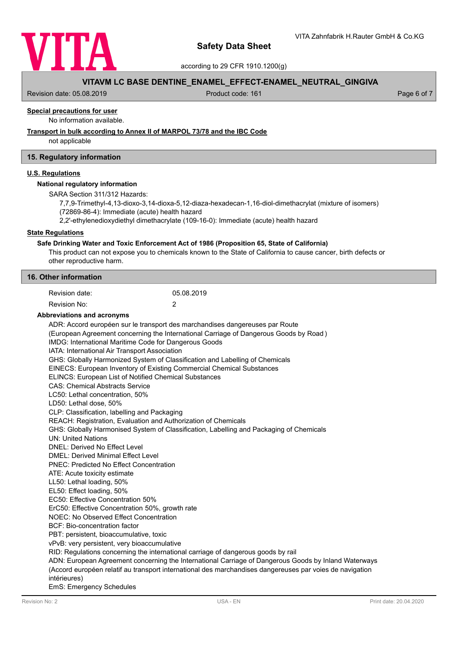

according to 29 CFR 1910.1200(g)

# **VITAVM LC BASE DENTINE\_ENAMEL\_EFFECT-ENAMEL\_NEUTRAL\_GINGIVA**

Revision date: 05.08.2019 **Product code: 161** Product code: 161 **Page 6 of 7** Page 6 of 7

# **Special precautions for user**

No information available.

#### **Transport in bulk according to Annex II of MARPOL 73/78 and the IBC Code**

not applicable

## **15. Regulatory information**

## **U.S. Regulations**

#### **National regulatory information**

SARA Section 311/312 Hazards:

7,7,9-Trimethyl-4,13-dioxo-3,14-dioxa-5,12-diaza-hexadecan-1,16-diol-dimethacrylat (mixture of isomers)

(72869-86-4): Immediate (acute) health hazard

2,2'-ethylenedioxydiethyl dimethacrylate (109-16-0): Immediate (acute) health hazard

### **State Regulations**

#### **Safe Drinking Water and Toxic Enforcement Act of 1986 (Proposition 65, State of California)**

This product can not expose you to chemicals known to the State of California to cause cancer, birth defects or other reproductive harm.

| 16. Other information |  |
|-----------------------|--|
|-----------------------|--|

| Revision date: | 05.08.2019 |
|----------------|------------|
| Revision No:   |            |

#### **Abbreviations and acronyms**

ADR: Accord européen sur le transport des marchandises dangereuses par Route (European Agreement concerning the International Carriage of Dangerous Goods by Road ) IMDG: International Maritime Code for Dangerous Goods IATA: International Air Transport Association GHS: Globally Harmonized System of Classification and Labelling of Chemicals EINECS: European Inventory of Existing Commercial Chemical Substances ELINCS: European List of Notified Chemical Substances CAS: Chemical Abstracts Service LC50: Lethal concentration, 50% LD50: Lethal dose, 50% CLP: Classification, labelling and Packaging REACH: Registration, Evaluation and Authorization of Chemicals GHS: Globally Harmonised System of Classification, Labelling and Packaging of Chemicals UN: United Nations DNEL: Derived No Effect Level DMEL: Derived Minimal Effect Level PNEC: Predicted No Effect Concentration ATE: Acute toxicity estimate LL50: Lethal loading, 50% EL50: Effect loading, 50% EC50: Effective Concentration 50% ErC50: Effective Concentration 50%, growth rate NOEC: No Observed Effect Concentration BCF: Bio-concentration factor PBT: persistent, bioaccumulative, toxic vPvB: very persistent, very bioaccumulative RID: Regulations concerning the international carriage of dangerous goods by rail ADN: European Agreement concerning the International Carriage of Dangerous Goods by Inland Waterways (Accord européen relatif au transport international des marchandises dangereuses par voies de navigation intérieures) EmS: Emergency Schedules